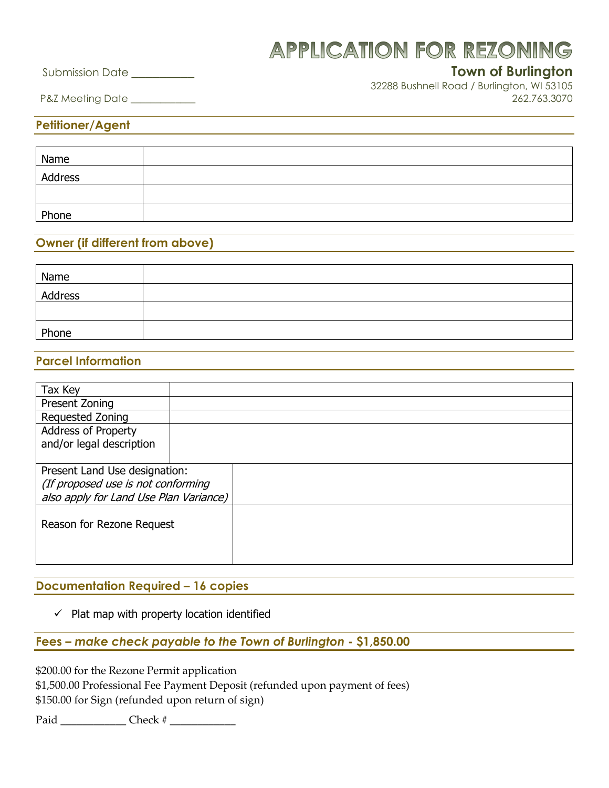## **APPLICATION FOR REZONING**

### Submission Date **\_\_\_\_\_\_\_\_\_ Town of Burlington**

32288 Bushnell Road / Burlington, WI 53105 P&Z Meeting Date \_\_\_\_\_\_\_\_\_\_\_\_\_ 262.763.3070

#### **Petitioner/Agent**

| Name    |  |
|---------|--|
| Address |  |
|         |  |
| Phone   |  |

#### **Owner (if different from above)**

| Name    |  |
|---------|--|
| Address |  |
|         |  |
| Phone   |  |

#### **Parcel Information**

| Tax Key                                |  |  |
|----------------------------------------|--|--|
| Present Zoning                         |  |  |
| Requested Zoning                       |  |  |
| <b>Address of Property</b>             |  |  |
| and/or legal description               |  |  |
|                                        |  |  |
| Present Land Use designation:          |  |  |
| (If proposed use is not conforming     |  |  |
| also apply for Land Use Plan Variance) |  |  |
|                                        |  |  |
| Reason for Rezone Request              |  |  |
|                                        |  |  |
|                                        |  |  |

#### **Documentation Required – 16 copies**

 $\checkmark$  Plat map with property location identified

### **Fees –** *make check payable to the Town of Burlington* **- \$1,850.00**

\$200.00 for the Rezone Permit application

\$1,500.00 Professional Fee Payment Deposit (refunded upon payment of fees)

\$150.00 for Sign (refunded upon return of sign)

Paid \_\_\_\_\_\_\_\_\_\_\_\_ Check # \_\_\_\_\_\_\_\_\_\_\_\_